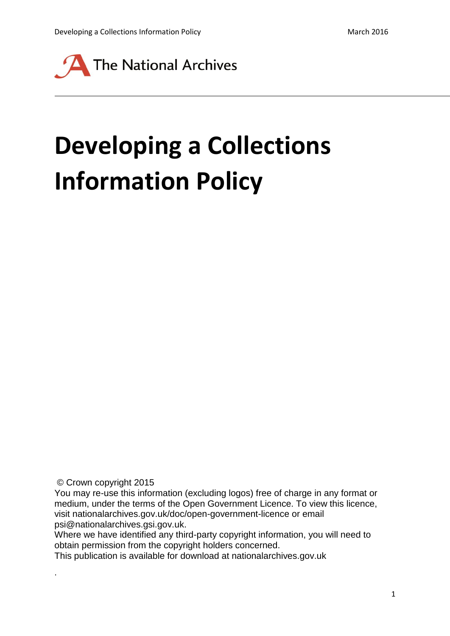

# **Developing a Collections Information Policy**

© Crown copyright 2015

.

You may re-use this information (excluding logos) free of charge in any format or medium, under the terms of the Open Government Licence. To view this licence, visit nationalarchives.gov.uk/doc/open-government-licence or email psi@nationalarchives.gsi.gov.uk.

Where we have identified any third-party copyright information, you will need to obtain permission from the copyright holders concerned.

This publication is available for download at nationalarchives.gov.uk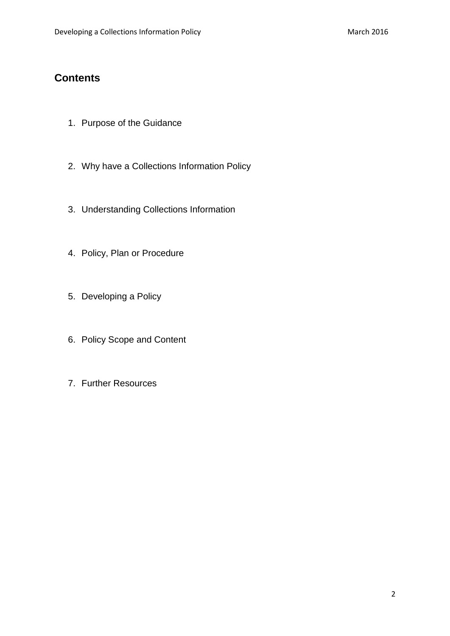## **Contents**

- 1. Purpose of the Guidance
- 2. Why have a Collections Information Policy
- 3. Understanding Collections Information
- 4. Policy, Plan or Procedure
- 5. Developing a Policy
- 6. Policy Scope and Content
- 7. Further Resources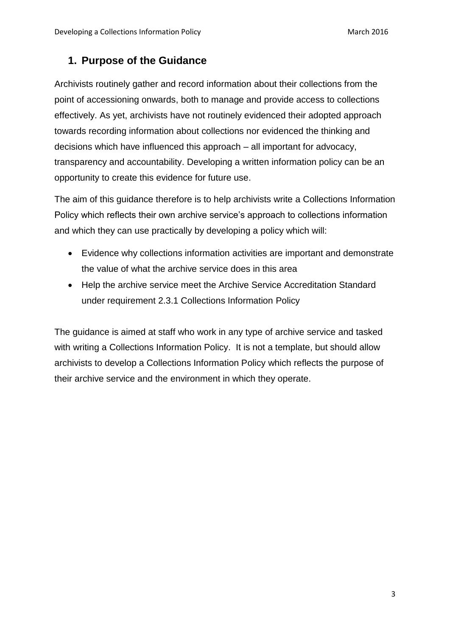### **1. Purpose of the Guidance**

Archivists routinely gather and record information about their collections from the point of accessioning onwards, both to manage and provide access to collections effectively. As yet, archivists have not routinely evidenced their adopted approach towards recording information about collections nor evidenced the thinking and decisions which have influenced this approach – all important for advocacy, transparency and accountability. Developing a written information policy can be an opportunity to create this evidence for future use.

The aim of this guidance therefore is to help archivists write a Collections Information Policy which reflects their own archive service's approach to collections information and which they can use practically by developing a policy which will:

- Evidence why collections information activities are important and demonstrate the value of what the archive service does in this area
- Help the archive service meet the Archive Service Accreditation Standard under requirement 2.3.1 Collections Information Policy

The guidance is aimed at staff who work in any type of archive service and tasked with writing a Collections Information Policy. It is not a template, but should allow archivists to develop a Collections Information Policy which reflects the purpose of their archive service and the environment in which they operate.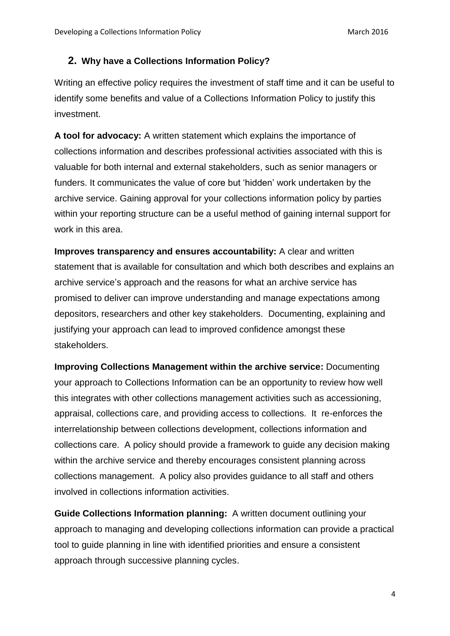#### **2. Why have a Collections Information Policy?**

Writing an effective policy requires the investment of staff time and it can be useful to identify some benefits and value of a Collections Information Policy to justify this investment.

**A tool for advocacy:** A written statement which explains the importance of collections information and describes professional activities associated with this is valuable for both internal and external stakeholders, such as senior managers or funders. It communicates the value of core but 'hidden' work undertaken by the archive service. Gaining approval for your collections information policy by parties within your reporting structure can be a useful method of gaining internal support for work in this area.

**Improves transparency and ensures accountability:** A clear and written statement that is available for consultation and which both describes and explains an archive service's approach and the reasons for what an archive service has promised to deliver can improve understanding and manage expectations among depositors, researchers and other key stakeholders. Documenting, explaining and justifying your approach can lead to improved confidence amongst these stakeholders.

**Improving Collections Management within the archive service:** Documenting your approach to Collections Information can be an opportunity to review how well this integrates with other collections management activities such as accessioning, appraisal, collections care, and providing access to collections. It re-enforces the interrelationship between collections development, collections information and collections care. A policy should provide a framework to guide any decision making within the archive service and thereby encourages consistent planning across collections management. A policy also provides guidance to all staff and others involved in collections information activities.

**Guide Collections Information planning:** A written document outlining your approach to managing and developing collections information can provide a practical tool to guide planning in line with identified priorities and ensure a consistent approach through successive planning cycles.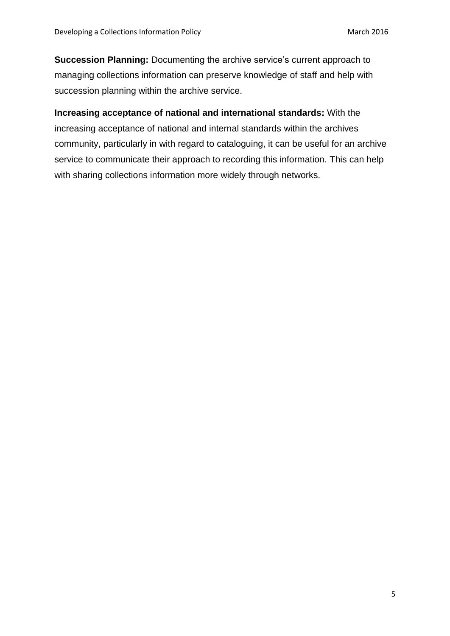**Succession Planning:** Documenting the archive service's current approach to managing collections information can preserve knowledge of staff and help with succession planning within the archive service.

**Increasing acceptance of national and international standards:** With the increasing acceptance of national and internal standards within the archives community, particularly in with regard to cataloguing, it can be useful for an archive service to communicate their approach to recording this information. This can help with sharing collections information more widely through networks.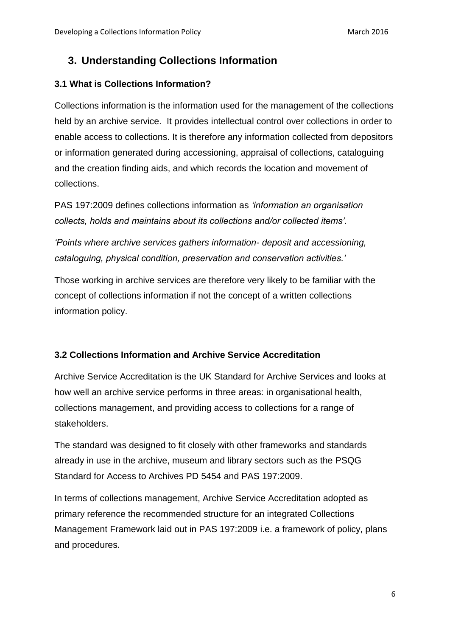## **3. Understanding Collections Information**

#### **3.1 What is Collections Information?**

Collections information is the information used for the management of the collections held by an archive service. It provides intellectual control over collections in order to enable access to collections. It is therefore any information collected from depositors or information generated during accessioning, appraisal of collections, cataloguing and the creation finding aids, and which records the location and movement of collections.

PAS 197:2009 defines collections information as *'information an organisation collects, holds and maintains about its collections and/or collected items'.*

*'Points where archive services gathers information- deposit and accessioning, cataloguing, physical condition, preservation and conservation activities.'*

Those working in archive services are therefore very likely to be familiar with the concept of collections information if not the concept of a written collections information policy.

#### **3.2 Collections Information and Archive Service Accreditation**

Archive Service Accreditation is the UK Standard for Archive Services and looks at how well an archive service performs in three areas: in organisational health, collections management, and providing access to collections for a range of stakeholders.

The standard was designed to fit closely with other frameworks and standards already in use in the archive, museum and library sectors such as the PSQG Standard for Access to Archives PD 5454 and PAS 197:2009.

In terms of collections management, Archive Service Accreditation adopted as primary reference the recommended structure for an integrated Collections Management Framework laid out in PAS 197:2009 i.e. a framework of policy, plans and procedures.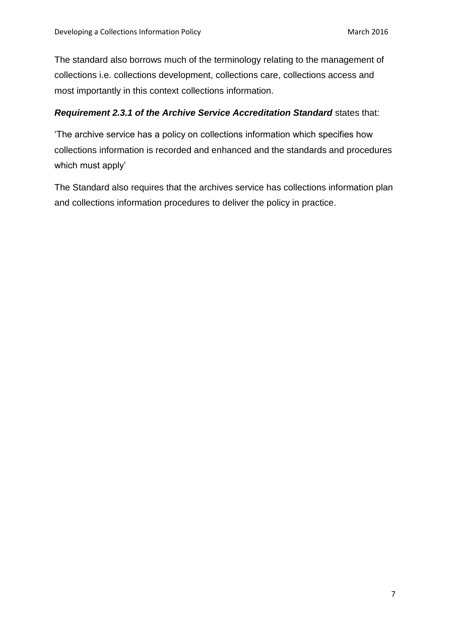The standard also borrows much of the terminology relating to the management of collections i.e. collections development, collections care, collections access and most importantly in this context collections information.

#### *Requirement 2.3.1 of the Archive Service Accreditation Standard* states that:

'The archive service has a policy on collections information which specifies how collections information is recorded and enhanced and the standards and procedures which must apply'

The Standard also requires that the archives service has collections information plan and collections information procedures to deliver the policy in practice.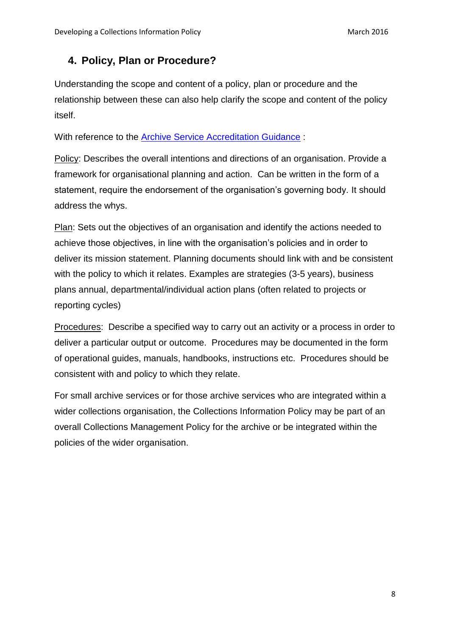## **4. Policy, Plan or Procedure?**

Understanding the scope and content of a policy, plan or procedure and the relationship between these can also help clarify the scope and content of the policy itself.

With reference to the [Archive Service Accreditation Guidance](http://www.nationalarchives.gov.uk/documents/archives/archive-service-accreditation-guidance.pdf) :

Policy: Describes the overall intentions and directions of an organisation. Provide a framework for organisational planning and action. Can be written in the form of a statement, require the endorsement of the organisation's governing body. It should address the whys.

Plan: Sets out the objectives of an organisation and identify the actions needed to achieve those objectives, in line with the organisation's policies and in order to deliver its mission statement. Planning documents should link with and be consistent with the policy to which it relates. Examples are strategies (3-5 years), business plans annual, departmental/individual action plans (often related to projects or reporting cycles)

Procedures: Describe a specified way to carry out an activity or a process in order to deliver a particular output or outcome. Procedures may be documented in the form of operational guides, manuals, handbooks, instructions etc. Procedures should be consistent with and policy to which they relate.

For small archive services or for those archive services who are integrated within a wider collections organisation, the Collections Information Policy may be part of an overall Collections Management Policy for the archive or be integrated within the policies of the wider organisation.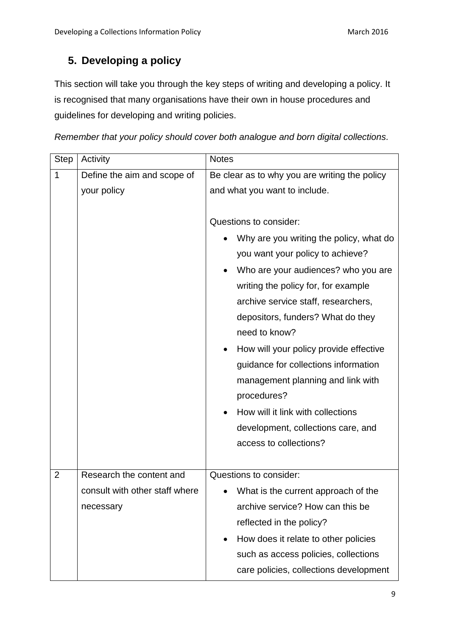## **5. Developing a policy**

This section will take you through the key steps of writing and developing a policy. It is recognised that many organisations have their own in house procedures and guidelines for developing and writing policies.

*Remember that your policy should cover both analogue and born digital collections.*

| <b>Step</b>    | Activity                                    | <b>Notes</b>                                                                                                                                                                                                                                                                                                                                                                                                                                                                                                                |
|----------------|---------------------------------------------|-----------------------------------------------------------------------------------------------------------------------------------------------------------------------------------------------------------------------------------------------------------------------------------------------------------------------------------------------------------------------------------------------------------------------------------------------------------------------------------------------------------------------------|
| 1              | Define the aim and scope of                 | Be clear as to why you are writing the policy                                                                                                                                                                                                                                                                                                                                                                                                                                                                               |
|                | your policy                                 | and what you want to include.                                                                                                                                                                                                                                                                                                                                                                                                                                                                                               |
|                |                                             | Questions to consider:<br>Why are you writing the policy, what do<br>you want your policy to achieve?<br>Who are your audiences? who you are<br>writing the policy for, for example<br>archive service staff, researchers,<br>depositors, funders? What do they<br>need to know?<br>How will your policy provide effective<br>guidance for collections information<br>management planning and link with<br>procedures?<br>How will it link with collections<br>development, collections care, and<br>access to collections? |
| $\overline{2}$ | Research the content and                    | Questions to consider:                                                                                                                                                                                                                                                                                                                                                                                                                                                                                                      |
|                | consult with other staff where<br>necessary | What is the current approach of the<br>archive service? How can this be<br>reflected in the policy?<br>How does it relate to other policies<br>$\bullet$<br>such as access policies, collections<br>care policies, collections development                                                                                                                                                                                                                                                                                  |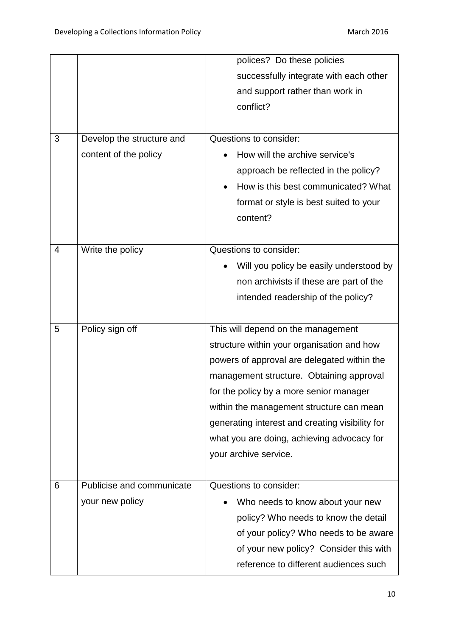|   |                           | polices? Do these policies                      |
|---|---------------------------|-------------------------------------------------|
|   |                           | successfully integrate with each other          |
|   |                           | and support rather than work in                 |
|   |                           | conflict?                                       |
| 3 | Develop the structure and | Questions to consider:                          |
|   | content of the policy     | How will the archive service's                  |
|   |                           | approach be reflected in the policy?            |
|   |                           | How is this best communicated? What             |
|   |                           | format or style is best suited to your          |
|   |                           | content?                                        |
|   |                           |                                                 |
| 4 | Write the policy          | Questions to consider:                          |
|   |                           | Will you policy be easily understood by         |
|   |                           | non archivists if these are part of the         |
|   |                           | intended readership of the policy?              |
|   |                           |                                                 |
| 5 | Policy sign off           | This will depend on the management              |
|   |                           | structure within your organisation and how      |
|   |                           | powers of approval are delegated within the     |
|   |                           | management structure. Obtaining approval        |
|   |                           | for the policy by a more senior manager         |
|   |                           | within the management structure can mean        |
|   |                           | generating interest and creating visibility for |
|   |                           | what you are doing, achieving advocacy for      |
|   |                           | your archive service.                           |
| 6 | Publicise and communicate | Questions to consider:                          |
|   | your new policy           | Who needs to know about your new                |
|   |                           | policy? Who needs to know the detail            |
|   |                           | of your policy? Who needs to be aware           |
|   |                           | of your new policy? Consider this with          |
|   |                           | reference to different audiences such           |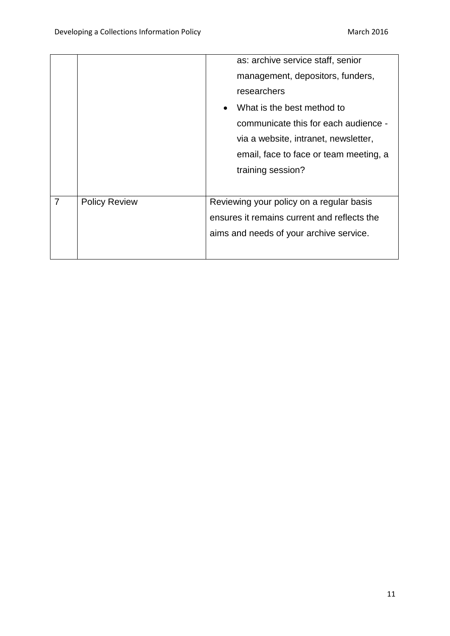|   |                      | as: archive service staff, senior           |
|---|----------------------|---------------------------------------------|
|   |                      | management, depositors, funders,            |
|   |                      | researchers                                 |
|   |                      | What is the best method to                  |
|   |                      | communicate this for each audience -        |
|   |                      | via a website, intranet, newsletter,        |
|   |                      | email, face to face or team meeting, a      |
|   |                      | training session?                           |
|   |                      |                                             |
| 7 | <b>Policy Review</b> | Reviewing your policy on a regular basis    |
|   |                      | ensures it remains current and reflects the |
|   |                      | aims and needs of your archive service.     |
|   |                      |                                             |
|   |                      |                                             |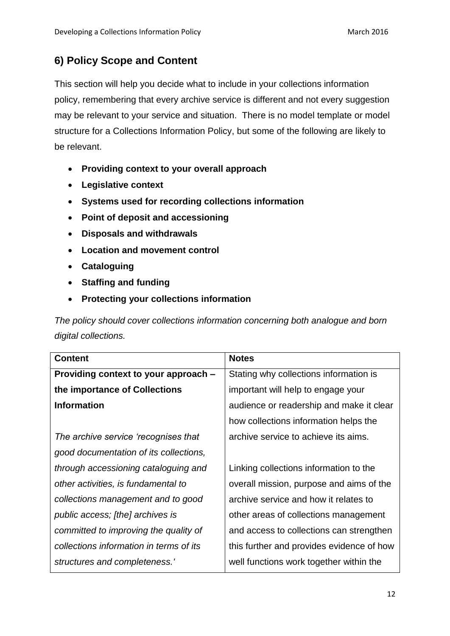## **6) Policy Scope and Content**

This section will help you decide what to include in your collections information policy, remembering that every archive service is different and not every suggestion may be relevant to your service and situation. There is no model template or model structure for a Collections Information Policy, but some of the following are likely to be relevant.

- **Providing context to your overall approach**
- **Legislative context**
- **Systems used for recording collections information**
- **Point of deposit and accessioning**
- **Disposals and withdrawals**
- **Location and movement control**
- **Cataloguing**
- **Staffing and funding**
- **Protecting your collections information**

*The policy should cover collections information concerning both analogue and born digital collections.*

| <b>Content</b>                          | <b>Notes</b>                              |
|-----------------------------------------|-------------------------------------------|
| Providing context to your approach -    | Stating why collections information is    |
| the importance of Collections           | important will help to engage your        |
| <b>Information</b>                      | audience or readership and make it clear  |
|                                         | how collections information helps the     |
| The archive service 'recognises that    | archive service to achieve its aims.      |
| good documentation of its collections,  |                                           |
| through accessioning cataloguing and    | Linking collections information to the    |
| other activities, is fundamental to     | overall mission, purpose and aims of the  |
| collections management and to good      | archive service and how it relates to     |
| public access; [the] archives is        | other areas of collections management     |
| committed to improving the quality of   | and access to collections can strengthen  |
| collections information in terms of its | this further and provides evidence of how |
| structures and completeness.'           | well functions work together within the   |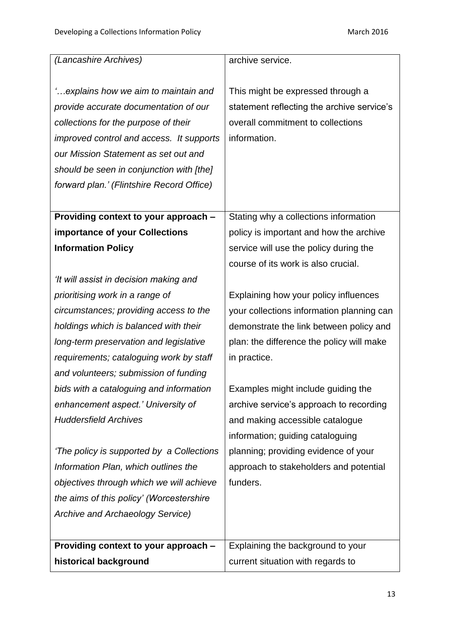| (Lancashire Archives)                     | archive service.                           |
|-------------------------------------------|--------------------------------------------|
|                                           |                                            |
| explains how we aim to maintain and       | This might be expressed through a          |
| provide accurate documentation of our     | statement reflecting the archive service's |
| collections for the purpose of their      | overall commitment to collections          |
| improved control and access. It supports  | information.                               |
| our Mission Statement as set out and      |                                            |
| should be seen in conjunction with [the]  |                                            |
| forward plan.' (Flintshire Record Office) |                                            |
|                                           |                                            |
| Providing context to your approach -      | Stating why a collections information      |
| importance of your Collections            | policy is important and how the archive    |
| <b>Information Policy</b>                 | service will use the policy during the     |
|                                           | course of its work is also crucial.        |
| 'It will assist in decision making and    |                                            |
| prioritising work in a range of           | Explaining how your policy influences      |
| circumstances; providing access to the    | your collections information planning can  |
| holdings which is balanced with their     | demonstrate the link between policy and    |
| long-term preservation and legislative    | plan: the difference the policy will make  |
| requirements; cataloguing work by staff   | in practice.                               |
| and volunteers; submission of funding     |                                            |
| bids with a cataloguing and information   | Examples might include guiding the         |
| enhancement aspect.' University of        | archive service's approach to recording    |
| <b>Huddersfield Archives</b>              | and making accessible catalogue            |
|                                           | information; guiding cataloguing           |
| 'The policy is supported by a Collections | planning; providing evidence of your       |
| Information Plan, which outlines the      | approach to stakeholders and potential     |
| objectives through which we will achieve  | funders.                                   |
| the aims of this policy' (Worcestershire  |                                            |
| Archive and Archaeology Service)          |                                            |
|                                           |                                            |
| Providing context to your approach -      | Explaining the background to your          |
| historical background                     | current situation with regards to          |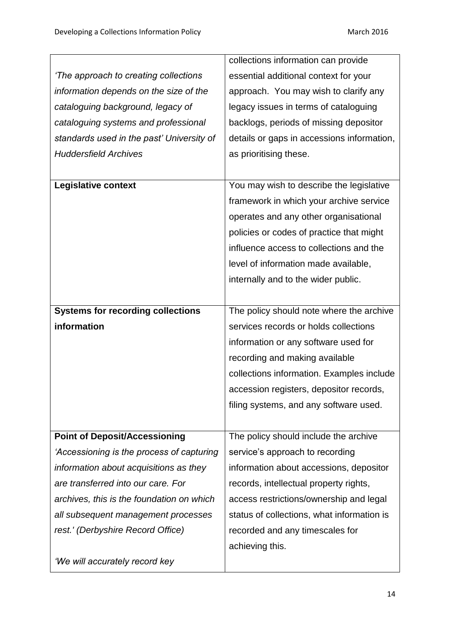|                                           | collections information can provide        |
|-------------------------------------------|--------------------------------------------|
| 'The approach to creating collections     | essential additional context for your      |
| information depends on the size of the    | approach. You may wish to clarify any      |
| cataloguing background, legacy of         | legacy issues in terms of cataloguing      |
| cataloguing systems and professional      | backlogs, periods of missing depositor     |
| standards used in the past' University of | details or gaps in accessions information, |
| <b>Huddersfield Archives</b>              | as prioritising these.                     |
|                                           |                                            |
| <b>Legislative context</b>                | You may wish to describe the legislative   |
|                                           | framework in which your archive service    |
|                                           | operates and any other organisational      |
|                                           | policies or codes of practice that might   |
|                                           | influence access to collections and the    |
|                                           | level of information made available,       |
|                                           | internally and to the wider public.        |
|                                           |                                            |
| <b>Systems for recording collections</b>  | The policy should note where the archive   |
| information                               | services records or holds collections      |
|                                           | information or any software used for       |
|                                           | recording and making available             |
|                                           | collections information. Examples include  |
|                                           | accession registers, depositor records,    |
|                                           | filing systems, and any software used.     |
|                                           |                                            |
| <b>Point of Deposit/Accessioning</b>      | The policy should include the archive      |
| 'Accessioning is the process of capturing | service's approach to recording            |
| information about acquisitions as they    | information about accessions, depositor    |
| are transferred into our care. For        | records, intellectual property rights,     |
| archives, this is the foundation on which | access restrictions/ownership and legal    |
| all subsequent management processes       | status of collections, what information is |
| rest.' (Derbyshire Record Office)         | recorded and any timescales for            |
|                                           | achieving this.                            |
| 'We will accurately record key            |                                            |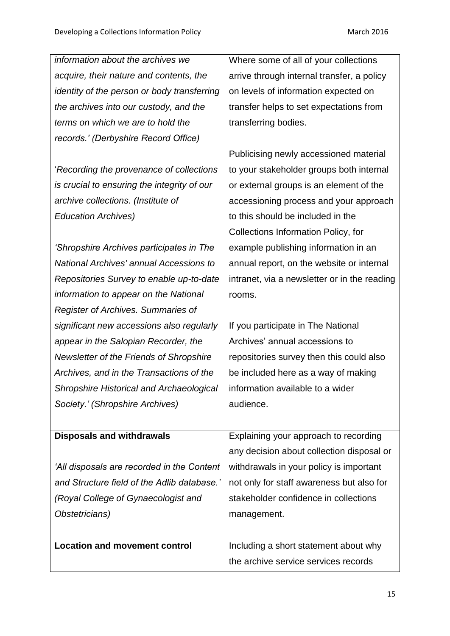| information about the archives we               | Where some of all of your collections        |
|-------------------------------------------------|----------------------------------------------|
| acquire, their nature and contents, the         | arrive through internal transfer, a policy   |
| identity of the person or body transferring     | on levels of information expected on         |
| the archives into our custody, and the          | transfer helps to set expectations from      |
| terms on which we are to hold the               | transferring bodies.                         |
| records.' (Derbyshire Record Office)            |                                              |
|                                                 | Publicising newly accessioned material       |
| 'Recording the provenance of collections        | to your stakeholder groups both internal     |
| is crucial to ensuring the integrity of our     | or external groups is an element of the      |
| archive collections. (Institute of              | accessioning process and your approach       |
| <b>Education Archives)</b>                      | to this should be included in the            |
|                                                 | Collections Information Policy, for          |
| 'Shropshire Archives participates in The        | example publishing information in an         |
| National Archives' annual Accessions to         | annual report, on the website or internal    |
| Repositories Survey to enable up-to-date        | intranet, via a newsletter or in the reading |
| information to appear on the National           | rooms.                                       |
| Register of Archives. Summaries of              |                                              |
| significant new accessions also regularly       | If you participate in The National           |
| appear in the Salopian Recorder, the            | Archives' annual accessions to               |
| Newsletter of the Friends of Shropshire         | repositories survey then this could also     |
| Archives, and in the Transactions of the        | be included here as a way of making          |
| <b>Shropshire Historical and Archaeological</b> | information available to a wider             |
| Society.' (Shropshire Archives)                 | audience.                                    |
|                                                 |                                              |
| <b>Disposals and withdrawals</b>                | Explaining your approach to recording        |
|                                                 | any decision about collection disposal or    |
| 'All disposals are recorded in the Content      | withdrawals in your policy is important      |
| and Structure field of the Adlib database.'     | not only for staff awareness but also for    |
| (Royal College of Gynaecologist and             | stakeholder confidence in collections        |
| Obstetricians)                                  | management.                                  |
|                                                 |                                              |
| <b>Location and movement control</b>            | Including a short statement about why        |
|                                                 | the archive service services records         |
|                                                 |                                              |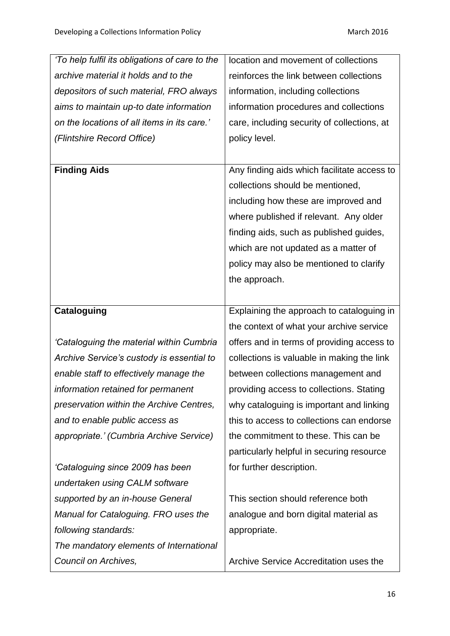| 'To help fulfil its obligations of care to the | location and movement of collections        |
|------------------------------------------------|---------------------------------------------|
| archive material it holds and to the           | reinforces the link between collections     |
| depositors of such material, FRO always        | information, including collections          |
| aims to maintain up-to date information        | information procedures and collections      |
| on the locations of all items in its care.'    | care, including security of collections, at |
| (Flintshire Record Office)                     | policy level.                               |
|                                                |                                             |
| <b>Finding Aids</b>                            | Any finding aids which facilitate access to |
|                                                | collections should be mentioned,            |
|                                                | including how these are improved and        |
|                                                | where published if relevant. Any older      |
|                                                | finding aids, such as published guides,     |
|                                                | which are not updated as a matter of        |
|                                                | policy may also be mentioned to clarify     |
|                                                | the approach.                               |
|                                                |                                             |
| <b>Cataloguing</b>                             | Explaining the approach to cataloguing in   |
|                                                | the context of what your archive service    |
| 'Cataloguing the material within Cumbria       | offers and in terms of providing access to  |
| Archive Service's custody is essential to      | collections is valuable in making the link  |
| enable staff to effectively manage the         | between collections management and          |
| information retained for permanent             | providing access to collections. Stating    |
| preservation within the Archive Centres,       | why cataloguing is important and linking    |
| and to enable public access as                 | this to access to collections can endorse   |
| appropriate.' (Cumbria Archive Service)        | the commitment to these. This can be        |
|                                                | particularly helpful in securing resource   |
| 'Cataloguing since 2009 has been               | for further description.                    |
| undertaken using CALM software                 |                                             |
| supported by an in-house General               | This section should reference both          |
| Manual for Cataloguing. FRO uses the           | analogue and born digital material as       |
|                                                |                                             |
| following standards:                           | appropriate.                                |
| The mandatory elements of International        |                                             |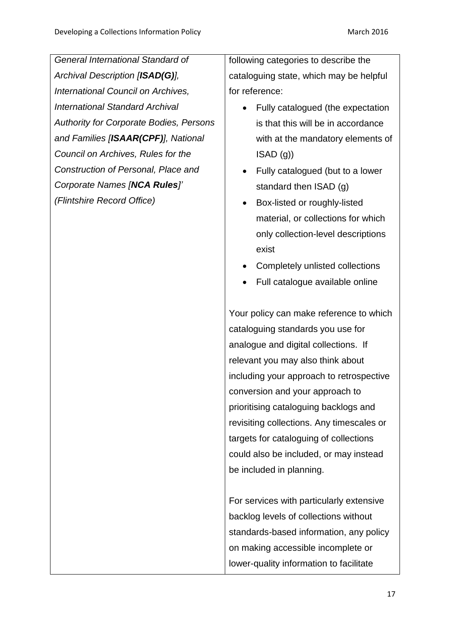*General International Standard of Archival Description [ISAD(G)], International Council on Archives, International Standard Archival Authority for Corporate Bodies, Persons and Families [ISAAR(CPF)], National Council on Archives, Rules for the Construction of Personal, Place and Corporate Names [NCA Rules]' (Flintshire Record Office)*

following categories to describe the cataloguing state, which may be helpful for reference:

- Fully catalogued (the expectation is that this will be in accordance with at the mandatory elements of ISAD (g))
- Fully catalogued (but to a lower standard then ISAD (g)
- Box-listed or roughly-listed material, or collections for which only collection-level descriptions exist
- Completely unlisted collections
- Full catalogue available online

Your policy can make reference to which cataloguing standards you use for analogue and digital collections. If relevant you may also think about including your approach to retrospective conversion and your approach to prioritising cataloguing backlogs and revisiting collections. Any timescales or targets for cataloguing of collections could also be included, or may instead be included in planning.

For services with particularly extensive backlog levels of collections without standards-based information, any policy on making accessible incomplete or lower-quality information to facilitate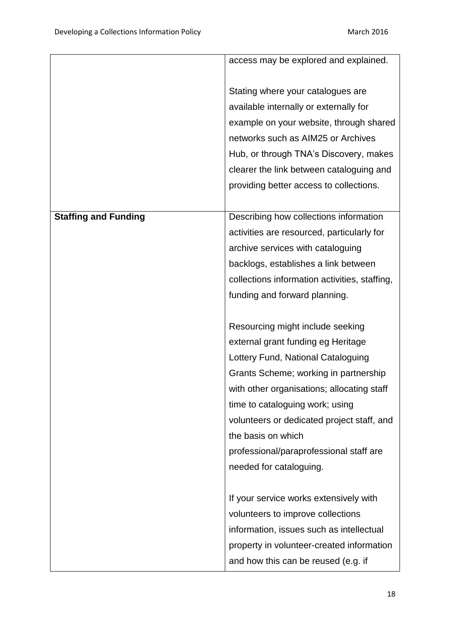|                             | access may be explored and explained.         |
|-----------------------------|-----------------------------------------------|
|                             |                                               |
|                             | Stating where your catalogues are             |
|                             | available internally or externally for        |
|                             | example on your website, through shared       |
|                             | networks such as AIM25 or Archives            |
|                             | Hub, or through TNA's Discovery, makes        |
|                             | clearer the link between cataloguing and      |
|                             | providing better access to collections.       |
|                             |                                               |
| <b>Staffing and Funding</b> | Describing how collections information        |
|                             | activities are resourced, particularly for    |
|                             | archive services with cataloguing             |
|                             | backlogs, establishes a link between          |
|                             | collections information activities, staffing, |
|                             | funding and forward planning.                 |
|                             |                                               |
|                             | Resourcing might include seeking              |
|                             | external grant funding eg Heritage            |
|                             | Lottery Fund, National Cataloguing            |
|                             | Grants Scheme; working in partnership         |
|                             | with other organisations; allocating staff    |
|                             | time to cataloguing work; using               |
|                             | volunteers or dedicated project staff, and    |
|                             | the basis on which                            |
|                             | professional/paraprofessional staff are       |
|                             | needed for cataloguing.                       |
|                             |                                               |
|                             | If your service works extensively with        |
|                             | volunteers to improve collections             |
|                             | information, issues such as intellectual      |
|                             | property in volunteer-created information     |
|                             | and how this can be reused (e.g. if           |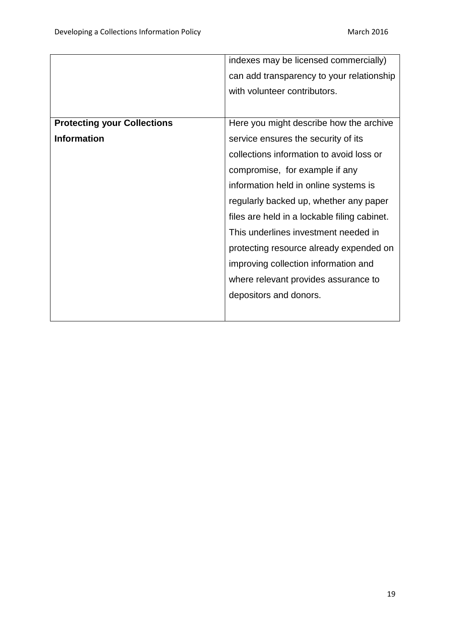|                                    | indexes may be licensed commercially)        |
|------------------------------------|----------------------------------------------|
|                                    | can add transparency to your relationship    |
|                                    | with volunteer contributors.                 |
|                                    |                                              |
| <b>Protecting your Collections</b> | Here you might describe how the archive      |
| <b>Information</b>                 | service ensures the security of its          |
|                                    | collections information to avoid loss or     |
|                                    | compromise, for example if any               |
|                                    | information held in online systems is        |
|                                    | regularly backed up, whether any paper       |
|                                    | files are held in a lockable filing cabinet. |
|                                    | This underlines investment needed in         |
|                                    | protecting resource already expended on      |
|                                    | improving collection information and         |
|                                    | where relevant provides assurance to         |
|                                    | depositors and donors.                       |
|                                    |                                              |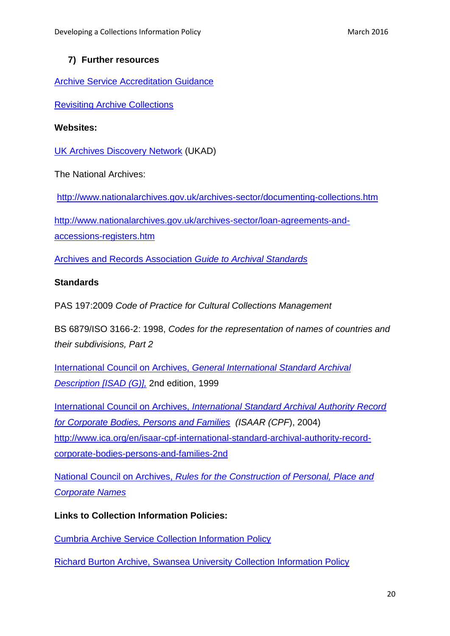#### **7) Further resources**

Archive [Service Accreditation Guidance](http://www.nationalarchives.gov.uk/documents/archives/archive-service-accreditation-guidance.pdf)

[Revisiting Archive Collections](http://www.collectionstrust.org.uk/collections-skills/revisiting-collections)

#### **Websites:**

[UK Archives Discovery Network](http://www.webarchive.org.uk/ukwa/target/339312686/source/alpha.) (UKAD)

The National Archives:

<http://www.nationalarchives.gov.uk/archives-sector/documenting-collections.htm>

[http://www.nationalarchives.gov.uk/archives-sector/loan-agreements-and](http://www.nationalarchives.gov.uk/archives-sector/loan-agreements-and-accessions-registers.htm)[accessions-registers.htm](http://www.nationalarchives.gov.uk/archives-sector/loan-agreements-and-accessions-registers.htm)

[Archives and Records Association](http://www.archives.org.uk/si-dsg/guide-to-standards.html) *Guide to Archival Standards*

#### **Standards**

PAS 197:2009 *Code of Practice for Cultural Collections Management*

BS 6879/ISO 3166-2: 1998, *Codes for the representation of names of countries and their subdivisions, Part 2* 

International Council on Archives, *[General International Standard Archival](http://www.ica.org/en/isadg-general-international-standard-archival-description-second-edition)  [Description \[ISAD \(G\)\],](http://www.ica.org/en/isadg-general-international-standard-archival-description-second-edition)* 2nd edition, 1999

International Council on Archives, *[International Standard Archival Authority Record](http://www.ica.org/en/isaar-cpf-international-standard-archival-authority-record-corporate-bodies-persons-and-families-2nd)  [for Corporate Bodies, Persons and Families](http://www.ica.org/en/isaar-cpf-international-standard-archival-authority-record-corporate-bodies-persons-and-families-2nd) (ISAAR (CPF*), 2004) [http://www.ica.org/en/isaar-cpf-international-standard-archival-authority-record](http://www.ica.org/en/isaar-cpf-international-standard-archival-authority-record-corporate-bodies-persons-and-families-2nd)[corporate-bodies-persons-and-families-2nd](http://www.ica.org/en/isaar-cpf-international-standard-archival-authority-record-corporate-bodies-persons-and-families-2nd)

National Council on Archives, *[Rules for the Construction of Personal, Place and](http://www.archives.org.uk/images/documents/namingrules.pdf)  [Corporate Names](http://www.archives.org.uk/images/documents/namingrules.pdf)*

**Links to Collection Information Policies:**

[Cumbria Archive Service Collection Information Policy](file://///na-storage8/Users$/jshillaker/Objective/DefaultHome/Objects/HYPERLINK%20%22http:/www.cumbria.gov.uk/eLibrary/Content/Internet/542/795/4152114130.pdf%22%20http:/www.cumbria.gov.uk/eLibrary/Content/Internet/542/795/4152114130.pdf)

[Richard Burton Archive, Swansea University](http://www.swansea.ac.uk/iss/archive-and-research-collections/richard-burton-archives/files/Collections%20Information%20Policy.pdf) Collection Information Policy